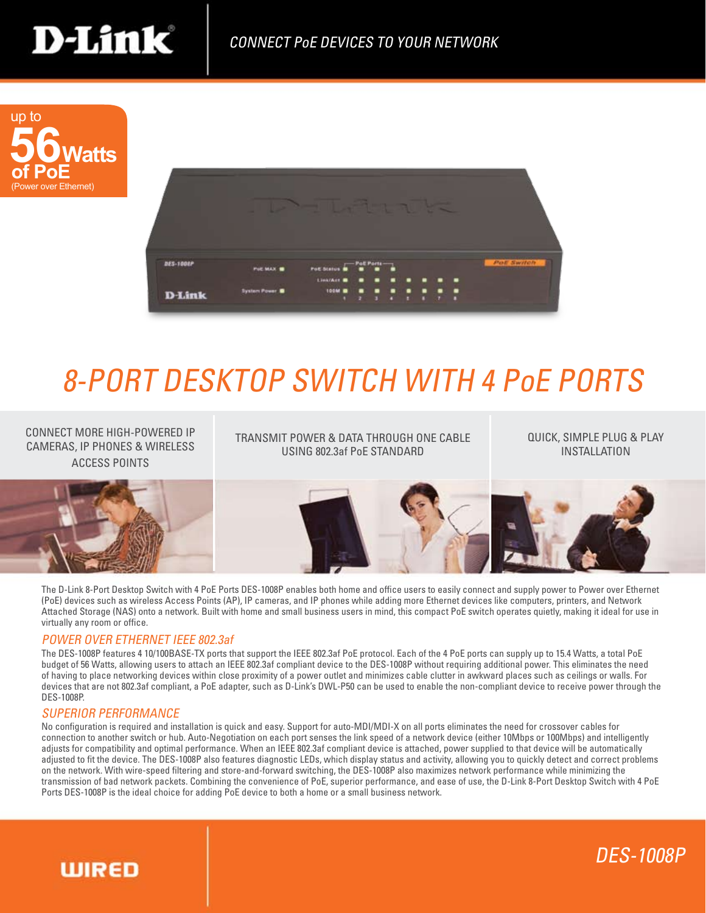





# 8-PORT DESKTOP SWITCH WITH 4 PoE PORTS

CONNECT MORE HIGH-POWERED IP CAMERAS, IP PHONES & WIRELESS ACCESS POINTS

TRANSMIT POWER & DATA THROUGH ONE CABLE USING 802.3af PoE STANDARD

QUICK, SIMPLE PLUG & PLAY INSTALLATION



The D-Link 8-Port Desktop Switch with 4 PoE Ports DES-1008P enables both home and office users to easily connect and supply power to Power over Ethernet (PoE) devices such as wireless Access Points (AP), IP cameras, and IP phones while adding more Ethernet devices like computers, printers, and Network Attached Storage (NAS) onto a network. Built with home and small business users in mind, this compact PoE switch operates quietly, making it ideal for use in virtually any room or office.

#### POWER OVER ETHERNET IEEE 802.3af

The DES-1008P features 4 10/100BASE-TX ports that support the IEEE 802.3af PoE protocol. Each of the 4 PoE ports can supply up to 15.4 Watts, a total PoE budget of 56 Watts, allowing users to attach an IEEE 802.3af compliant device to the DES-1008P without requiring additional power. This eliminates the need of having to place networking devices within close proximity of a power outlet and minimizes cable clutter in awkward places such as ceilings or walls. For devices that are not 802.3af compliant, a PoE adapter, such as D-Link's DWL-P50 can be used to enable the non-compliant device to receive power through the DES-1008P.

#### SUPERIOR PERFORMANCE

No configuration is required and installation is quick and easy. Support for auto-MDI/MDI-X on all ports eliminates the need for crossover cables for connection to another switch or hub. Auto-Negotiation on each port senses the link speed of a network device (either 10Mbps or 100Mbps) and intelligently adjusts for compatibility and optimal performance. When an IEEE 802.3af compliant device is attached, power supplied to that device will be automatically adjusted to fit the device. The DES-1008P also features diagnostic LEDs, which display status and activity, allowing you to quickly detect and correct problems on the network. With wire-speed filtering and store-and-forward switching, the DES-1008P also maximizes network performance while minimizing the transmission of bad network packets. Combining the convenience of PoE, superior performance, and ease of use, the D-Link 8-Port Desktop Switch with 4 PoE Ports DES-1008P is the ideal choice for adding PoE device to both a home or a small business network.